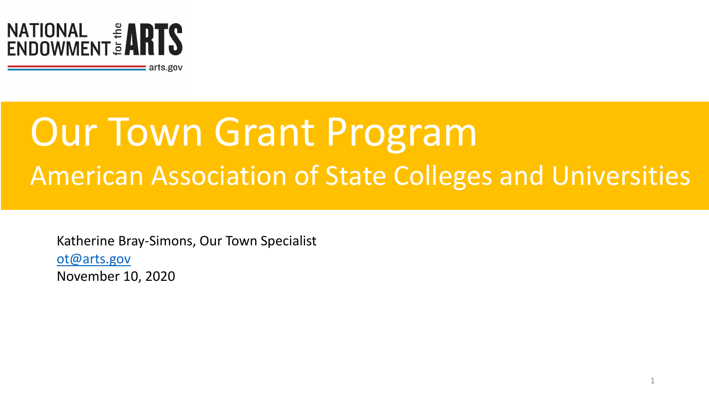

: arts.gov

# Our Town Grant Program American Association of State Colleges and Universities

1

Katherine Bray-Simons, Our Town Specialist [ot@arts.gov](mailto:ot@arts.gov) November 10, 2020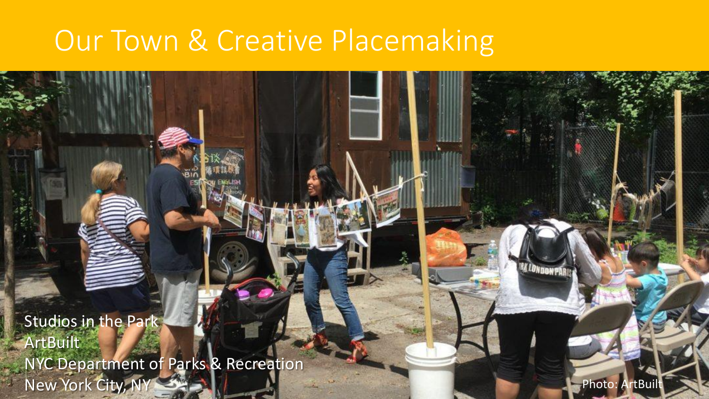#### Our Town & Creative Placemaking

**RALDNDONPA** Studios in the Park ArtBuilt NYC Department of Parks & Recreation New York City, NY Photo: ArtBuilt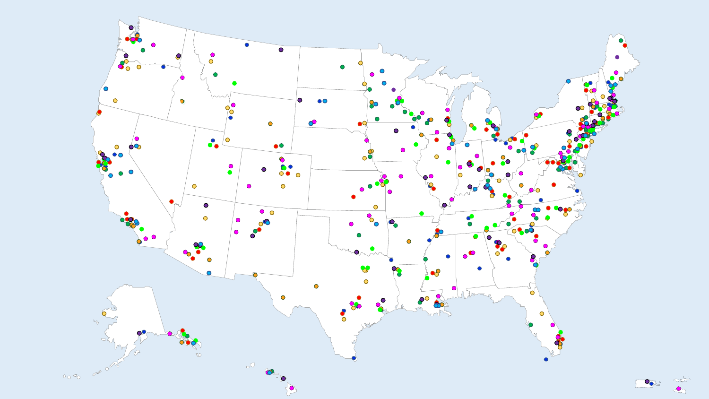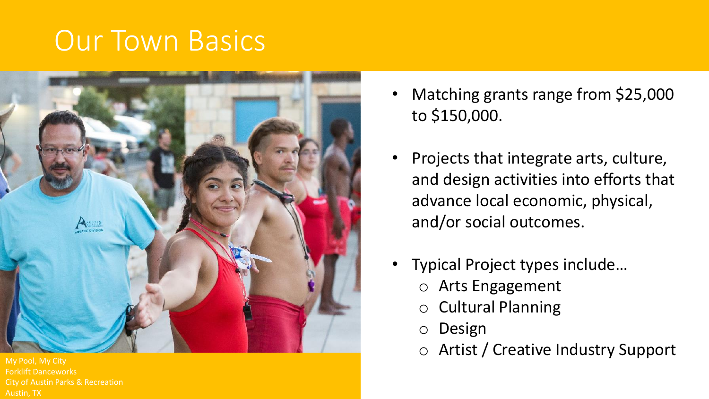#### Our Town Basics



My Pool, My City Forklift Danceworks City of Austin Parks & Recreation Austin, TX

- Matching grants range from \$25,000 to \$150,000.
- Projects that integrate arts, culture, and design activities into efforts that advance local economic, physical, and/or social outcomes.
- Typical Project types include…
	- o Arts Engagement
	- o Cultural Planning
	- o Design
	- o Artist / Creative Industry Support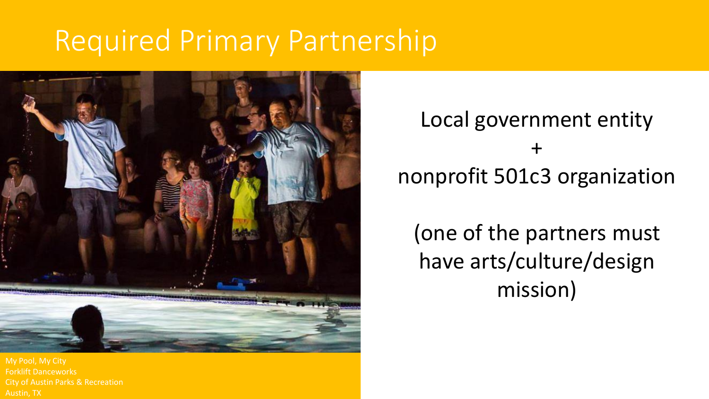#### Required Primary Partnership



Local government entity + nonprofit 501c3 organization

(one of the partners must have arts/culture/design mission)

My Pool, My City Forklift Danceworks City of Austin Parks & Recreation Austin, TX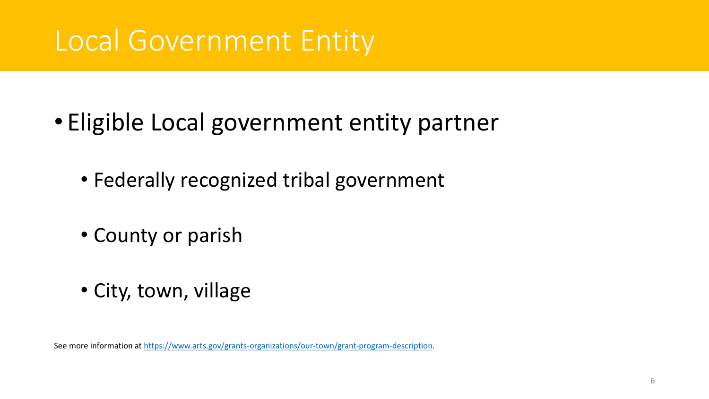# Local Government Entity

- Eligible Local government entity partner
	- Federally recognized tribal government
	- County or parish
	- City, town, village

See more information at [https://www.arts.gov/grants-organizations/our-town/grant-program-description.](https://www.arts.gov/grants-organizations/our-town/grant-program-description)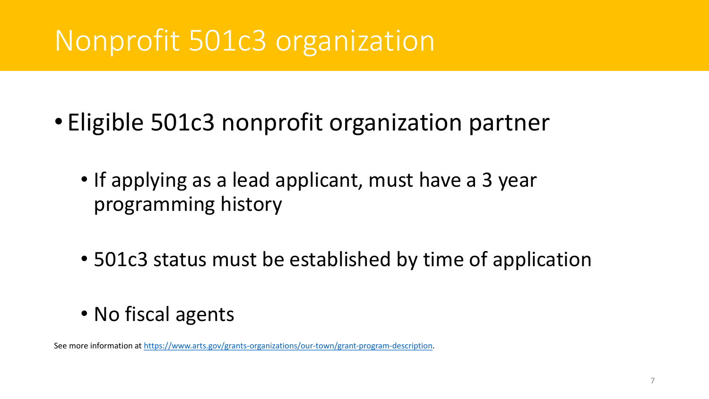# Nonprofit 501c3 organization

- Eligible 501c3 nonprofit organization partner
	- If applying as a lead applicant, must have a 3 year programming history
	- 501c3 status must be established by time of application
	- No fiscal agents

See more information at [https://www.arts.gov/grants-organizations/our-town/grant-program-description.](https://www.arts.gov/grants-organizations/our-town/grant-program-description)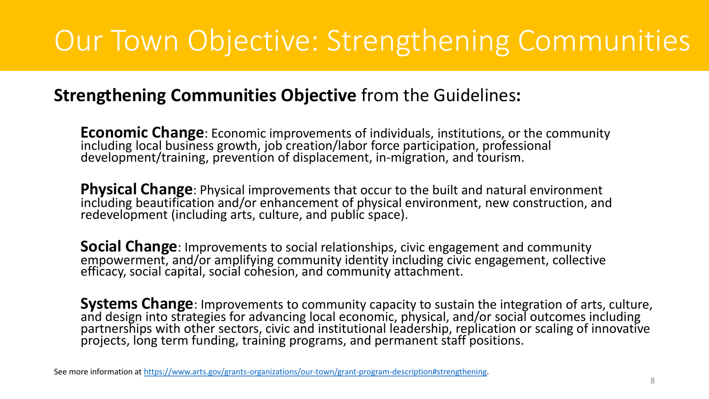# Our Town Objective: Strengthening Communities

#### **Strengthening Communities Objective** from the Guidelines**:**

**Economic Change**: Economic improvements of individuals, institutions, or the community including local business growth, job creation/labor force participation, professional development/training, prevention of displacement, in-migration, and tourism.

Physical Change: Physical improvements that occur to the built and natural environment including beautification and/or enhancement of physical environment, new construction, and redevelopment (including arts, culture, and public space).

**Social Change**: Improvements to social relationships, civic engagement and community empowerment, and/or amplifying community identity including civic engagement, collective efficacy, social capital, social cohesion, and community attachment.

**Systems Change**: Improvements to community capacity to sustain the integration of arts, culture, and design into strategies for advancing local economic, physical, and/or social outcomes including partnerships with other sectors, civic and institutional leadership, replication or scaling of innovative projects, long term funding, training programs, and permanent staff positions.